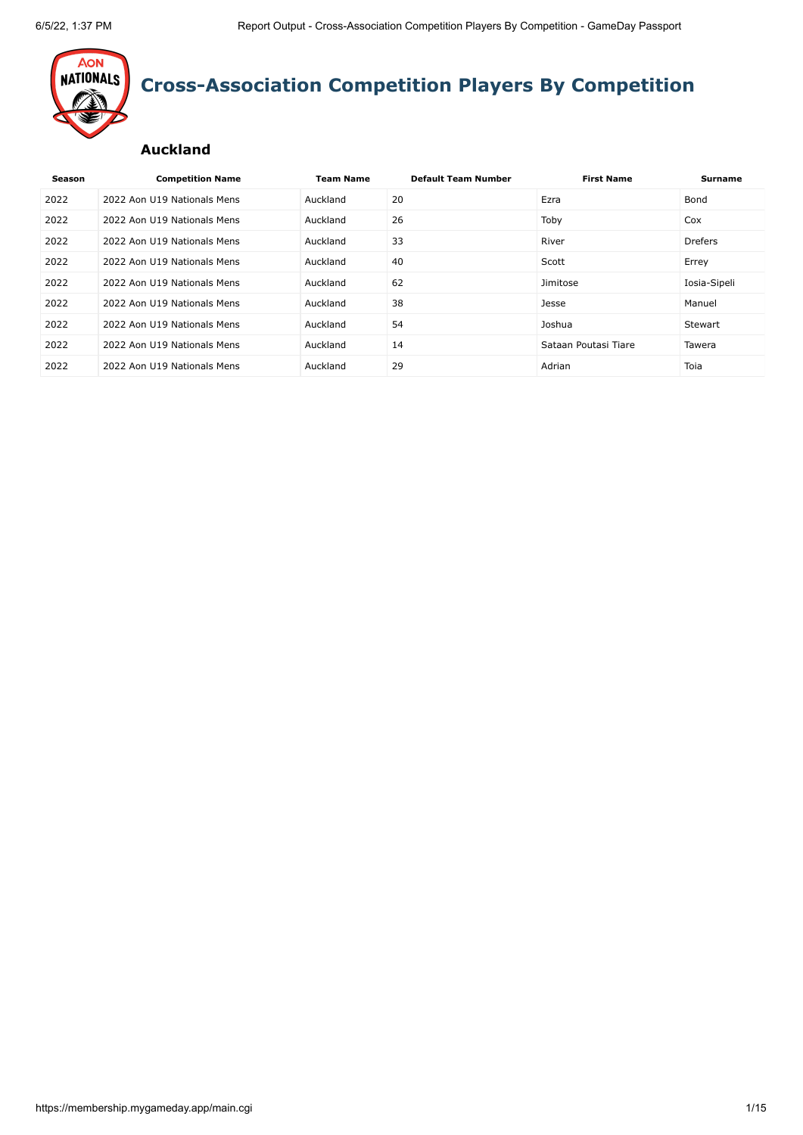

# **Cross-Association Competition Players By Competition**

#### **Auckland**

| Season | <b>Competition Name</b>     | <b>Team Name</b> | <b>Default Team Number</b> | <b>First Name</b>    | <b>Surname</b> |
|--------|-----------------------------|------------------|----------------------------|----------------------|----------------|
| 2022   | 2022 Aon U19 Nationals Mens | Auckland         | 20                         | Ezra                 | Bond           |
| 2022   | 2022 Aon U19 Nationals Mens | Auckland         | 26                         | Toby                 | Cox            |
| 2022   | 2022 Aon U19 Nationals Mens | Auckland         | 33                         | River                | <b>Drefers</b> |
| 2022   | 2022 Aon U19 Nationals Mens | Auckland         | 40                         | Scott                | Errey          |
| 2022   | 2022 Aon U19 Nationals Mens | Auckland         | 62                         | Jimitose             | Iosia-Sipeli   |
| 2022   | 2022 Aon U19 Nationals Mens | Auckland         | 38                         | Jesse                | Manuel         |
| 2022   | 2022 Aon U19 Nationals Mens | Auckland         | 54                         | Joshua               | Stewart        |
| 2022   | 2022 Aon U19 Nationals Mens | Auckland         | 14                         | Sataan Poutasi Tiare | Tawera         |
| 2022   | 2022 Aon U19 Nationals Mens | Auckland         | 29                         | Adrian               | Toia           |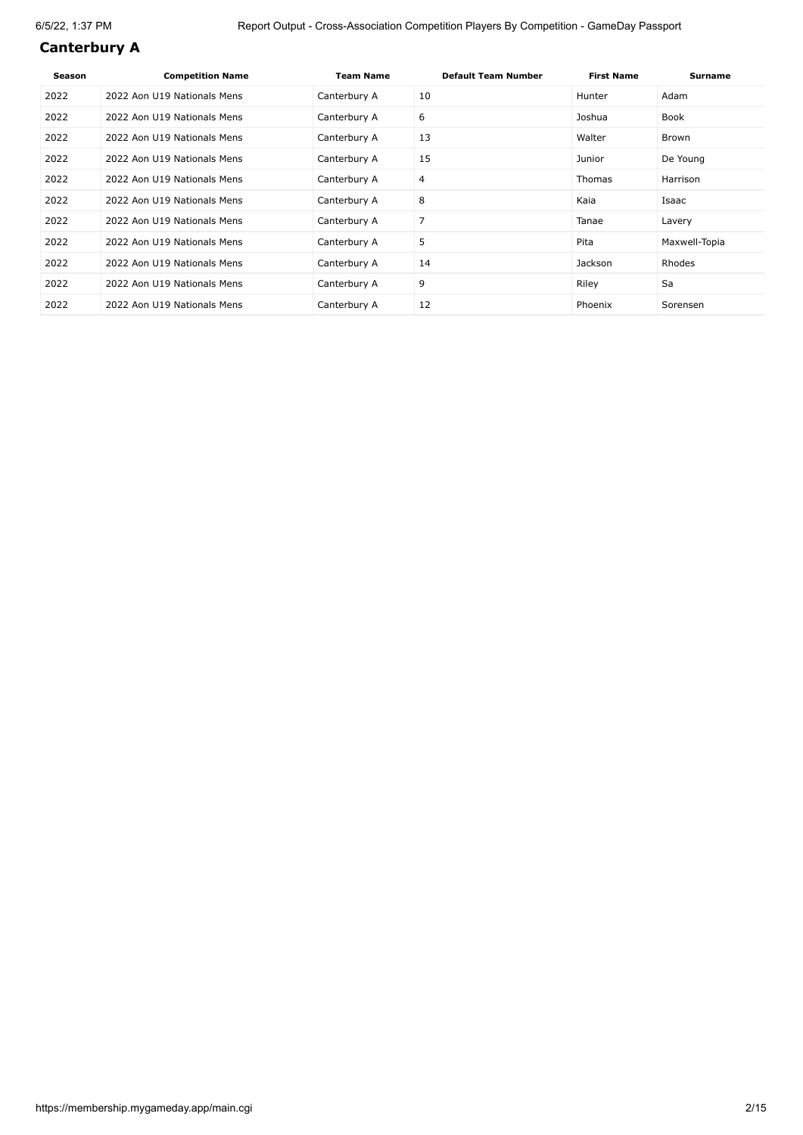#### **Canterbury A**

| Season | <b>Competition Name</b>     | <b>Team Name</b> | <b>Default Team Number</b> | <b>First Name</b> | <b>Surname</b> |
|--------|-----------------------------|------------------|----------------------------|-------------------|----------------|
| 2022   | 2022 Aon U19 Nationals Mens | Canterbury A     | 10                         | Hunter            | Adam           |
| 2022   | 2022 Aon U19 Nationals Mens | Canterbury A     | 6                          | Joshua            | Book           |
| 2022   | 2022 Aon U19 Nationals Mens | Canterbury A     | 13                         | Walter            | Brown          |
| 2022   | 2022 Aon U19 Nationals Mens | Canterbury A     | 15                         | Junior            | De Young       |
| 2022   | 2022 Aon U19 Nationals Mens | Canterbury A     | 4                          | <b>Thomas</b>     | Harrison       |
| 2022   | 2022 Aon U19 Nationals Mens | Canterbury A     | 8                          | Kaia              | Isaac          |
| 2022   | 2022 Aon U19 Nationals Mens | Canterbury A     | 7                          | Tanae             | Lavery         |
| 2022   | 2022 Aon U19 Nationals Mens | Canterbury A     | 5                          | Pita              | Maxwell-Topia  |
| 2022   | 2022 Aon U19 Nationals Mens | Canterbury A     | 14                         | Jackson           | Rhodes         |
| 2022   | 2022 Aon U19 Nationals Mens | Canterbury A     | 9                          | Riley             | Sa             |
| 2022   | 2022 Aon U19 Nationals Mens | Canterbury A     | 12                         | Phoenix           | Sorensen       |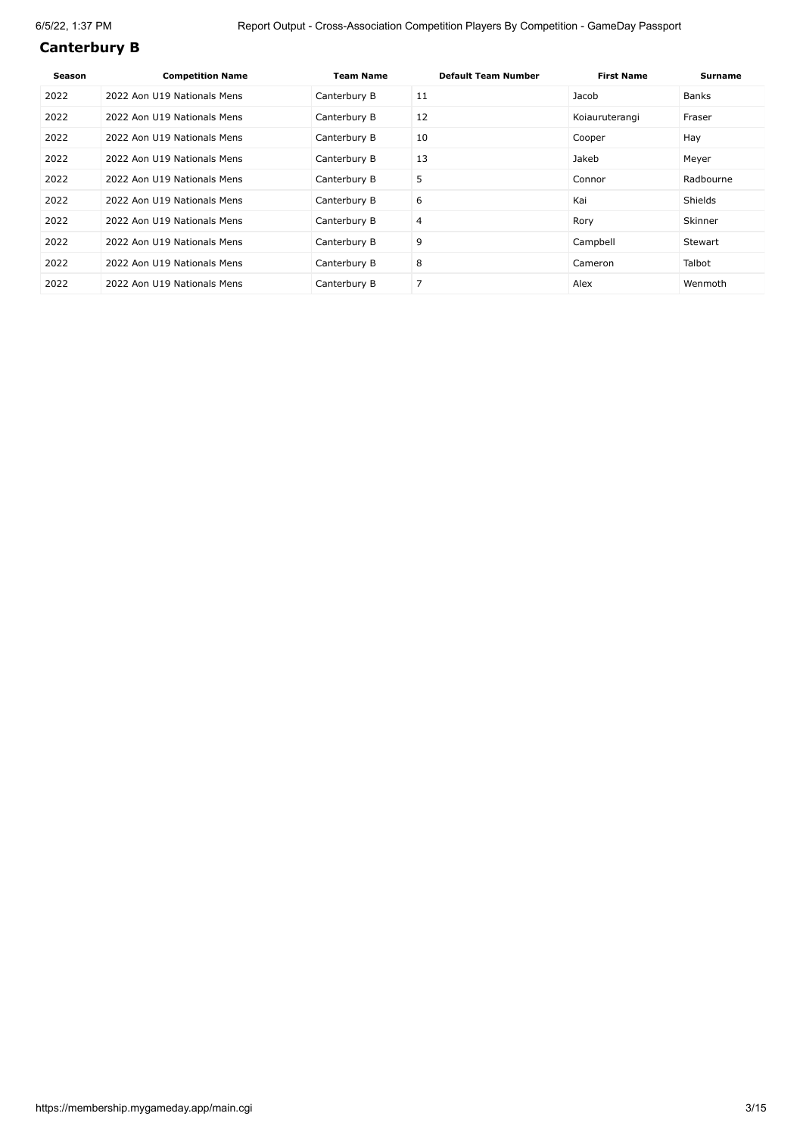#### **Canterbury B**

| Season | <b>Competition Name</b>     | Team Name    | <b>Default Team Number</b> | <b>First Name</b> | Surname        |
|--------|-----------------------------|--------------|----------------------------|-------------------|----------------|
| 2022   | 2022 Aon U19 Nationals Mens | Canterbury B | 11                         | Jacob             | <b>Banks</b>   |
| 2022   | 2022 Aon U19 Nationals Mens | Canterbury B | 12                         | Koiauruterangi    | Fraser         |
| 2022   | 2022 Aon U19 Nationals Mens | Canterbury B | 10                         | Cooper            | Hay            |
| 2022   | 2022 Aon U19 Nationals Mens | Canterbury B | 13                         | Jakeb             | Meyer          |
| 2022   | 2022 Aon U19 Nationals Mens | Canterbury B | 5                          | Connor            | Radbourne      |
| 2022   | 2022 Aon U19 Nationals Mens | Canterbury B | 6                          | Kai               | <b>Shields</b> |
| 2022   | 2022 Aon U19 Nationals Mens | Canterbury B | 4                          | Rory              | Skinner        |
| 2022   | 2022 Aon U19 Nationals Mens | Canterbury B | 9                          | Campbell          | Stewart        |
| 2022   | 2022 Aon U19 Nationals Mens | Canterbury B | 8                          | Cameron           | Talbot         |
| 2022   | 2022 Aon U19 Nationals Mens | Canterbury B | 7                          | Alex              | Wenmoth        |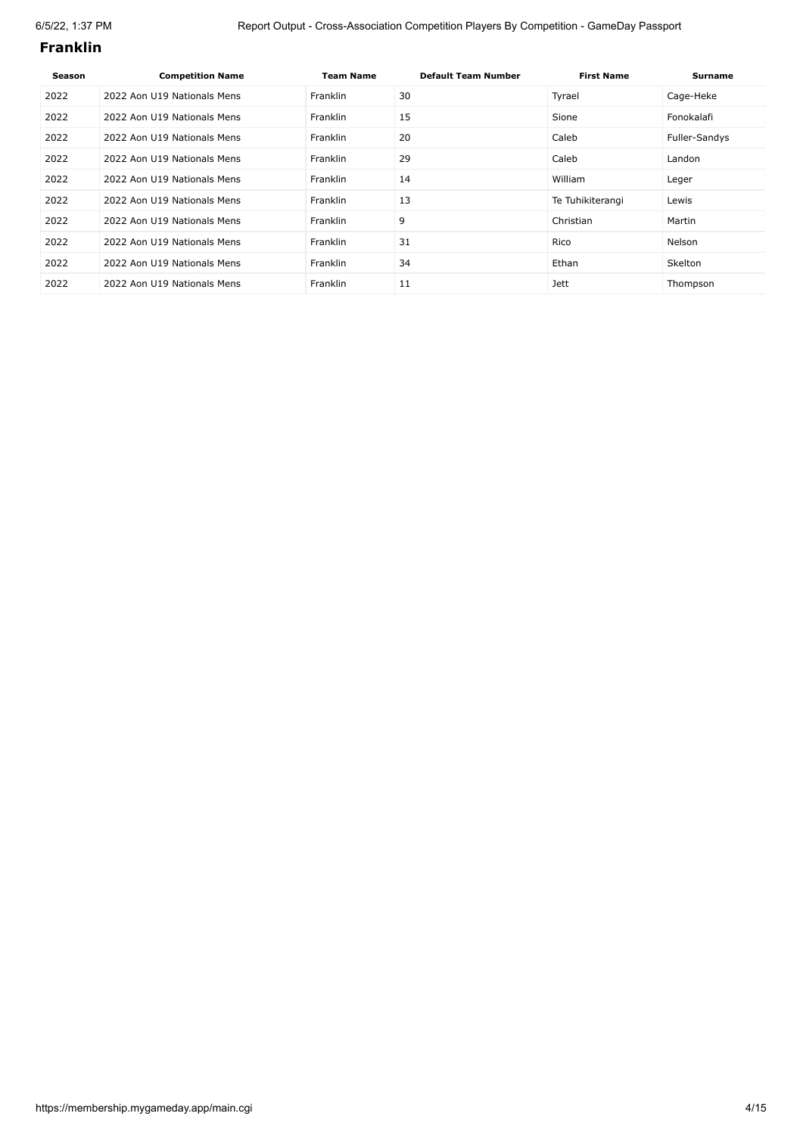#### **Franklin**

| Season | <b>Competition Name</b>     | <b>Team Name</b> | <b>Default Team Number</b> | <b>First Name</b> | <b>Surname</b> |
|--------|-----------------------------|------------------|----------------------------|-------------------|----------------|
| 2022   | 2022 Aon U19 Nationals Mens | <b>Franklin</b>  | 30                         | Tyrael            | Cage-Heke      |
| 2022   | 2022 Aon U19 Nationals Mens | <b>Franklin</b>  | 15                         | Sione             | Fonokalafi     |
| 2022   | 2022 Aon U19 Nationals Mens | <b>Franklin</b>  | 20                         | Caleb             | Fuller-Sandys  |
| 2022   | 2022 Aon U19 Nationals Mens | <b>Franklin</b>  | 29                         | Caleb             | Landon         |
| 2022   | 2022 Aon U19 Nationals Mens | Franklin         | 14                         | William           | Leger          |
| 2022   | 2022 Aon U19 Nationals Mens | Franklin         | 13                         | Te Tuhikiterangi  | Lewis          |
| 2022   | 2022 Aon U19 Nationals Mens | Franklin         | 9                          | Christian         | Martin         |
| 2022   | 2022 Aon U19 Nationals Mens | <b>Franklin</b>  | 31                         | Rico              | Nelson         |
| 2022   | 2022 Aon U19 Nationals Mens | <b>Franklin</b>  | 34                         | Ethan             | <b>Skelton</b> |
| 2022   | 2022 Aon U19 Nationals Mens | Franklin         | 11                         | Jett              | Thompson       |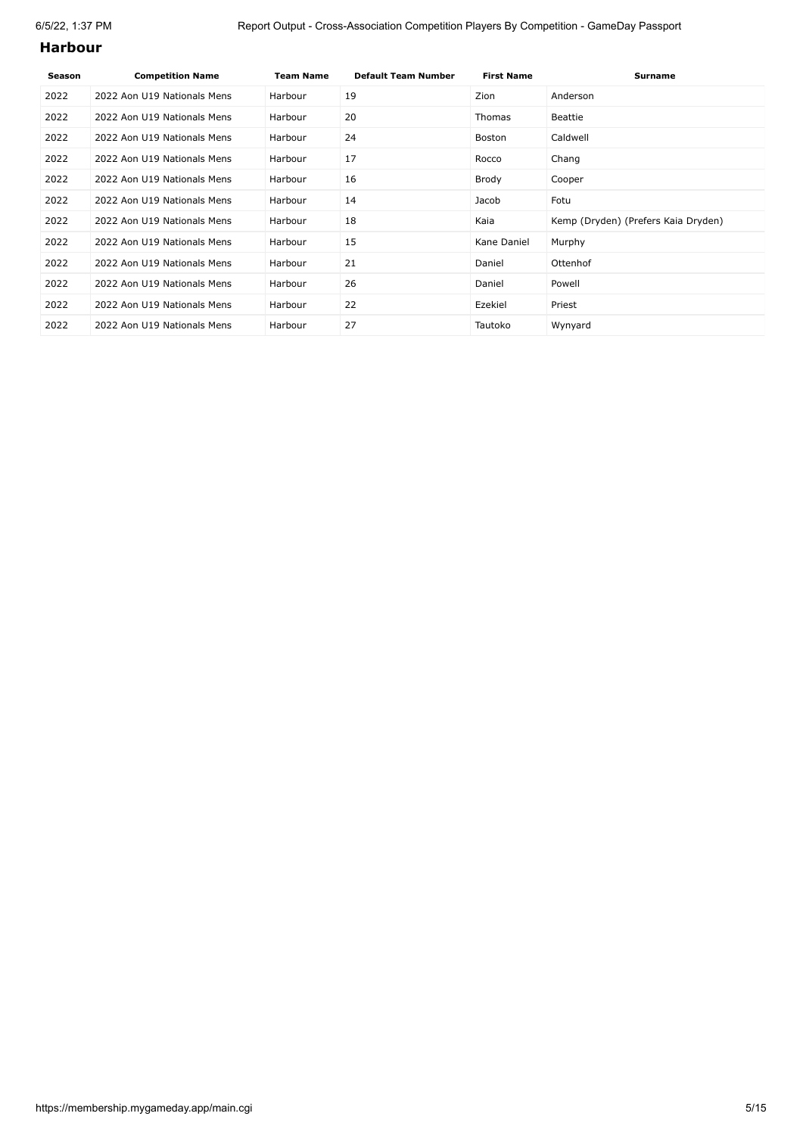#### **Harbour**

| Season | <b>Competition Name</b>     | <b>Team Name</b> | <b>Default Team Number</b> | <b>First Name</b> | <b>Surname</b>                      |
|--------|-----------------------------|------------------|----------------------------|-------------------|-------------------------------------|
| 2022   | 2022 Aon U19 Nationals Mens | Harbour          | 19                         | Zion              | Anderson                            |
| 2022   | 2022 Aon U19 Nationals Mens | Harbour          | 20                         | <b>Thomas</b>     | Beattie                             |
| 2022   | 2022 Aon U19 Nationals Mens | Harbour          | 24                         | Boston            | Caldwell                            |
| 2022   | 2022 Aon U19 Nationals Mens | Harbour          | 17                         | Rocco             | Chang                               |
| 2022   | 2022 Aon U19 Nationals Mens | Harbour          | 16                         | Brody             | Cooper                              |
| 2022   | 2022 Aon U19 Nationals Mens | Harbour          | 14                         | Jacob             | Fotu                                |
| 2022   | 2022 Aon U19 Nationals Mens | Harbour          | 18                         | Kaia              | Kemp (Dryden) (Prefers Kaia Dryden) |
| 2022   | 2022 Aon U19 Nationals Mens | Harbour          | 15                         | Kane Daniel       | Murphy                              |
| 2022   | 2022 Aon U19 Nationals Mens | Harbour          | 21                         | Daniel            | Ottenhof                            |
| 2022   | 2022 Aon U19 Nationals Mens | Harbour          | 26                         | Daniel            | Powell                              |
| 2022   | 2022 Aon U19 Nationals Mens | Harbour          | 22                         | Ezekiel           | Priest                              |
| 2022   | 2022 Aon U19 Nationals Mens | Harbour          | 27                         | Tautoko           | Wynyard                             |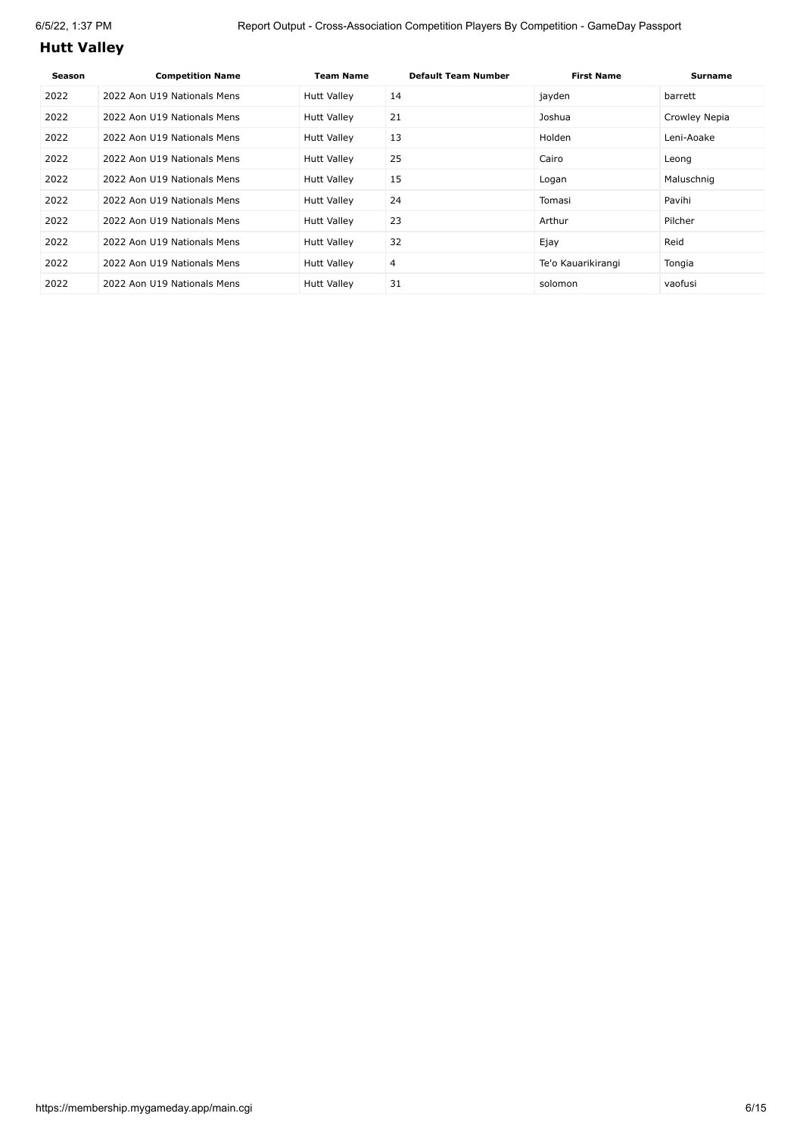# **Hutt Valley**

| Season | <b>Competition Name</b>     | <b>Team Name</b>   | <b>Default Team Number</b> | <b>First Name</b>  | Surname       |
|--------|-----------------------------|--------------------|----------------------------|--------------------|---------------|
| 2022   | 2022 Aon U19 Nationals Mens | <b>Hutt Valley</b> | 14                         | jayden             | barrett       |
| 2022   | 2022 Aon U19 Nationals Mens | <b>Hutt Valley</b> | 21                         | Joshua             | Crowley Nepia |
| 2022   | 2022 Aon U19 Nationals Mens | <b>Hutt Valley</b> | 13                         | Holden             | Leni-Aoake    |
| 2022   | 2022 Aon U19 Nationals Mens | <b>Hutt Valley</b> | 25                         | Cairo              | Leong         |
| 2022   | 2022 Aon U19 Nationals Mens | <b>Hutt Valley</b> | 15                         | Logan              | Maluschnig    |
| 2022   | 2022 Aon U19 Nationals Mens | <b>Hutt Valley</b> | 24                         | Tomasi             | Pavihi        |
| 2022   | 2022 Aon U19 Nationals Mens | Hutt Valley        | 23                         | Arthur             | Pilcher       |
| 2022   | 2022 Aon U19 Nationals Mens | <b>Hutt Valley</b> | 32                         | Ejay               | Reid          |
| 2022   | 2022 Aon U19 Nationals Mens | Hutt Valley        | 4                          | Te'o Kauarikirangi | Tongia        |
| 2022   | 2022 Aon U19 Nationals Mens | <b>Hutt Valley</b> | 31                         | solomon            | vaofusi       |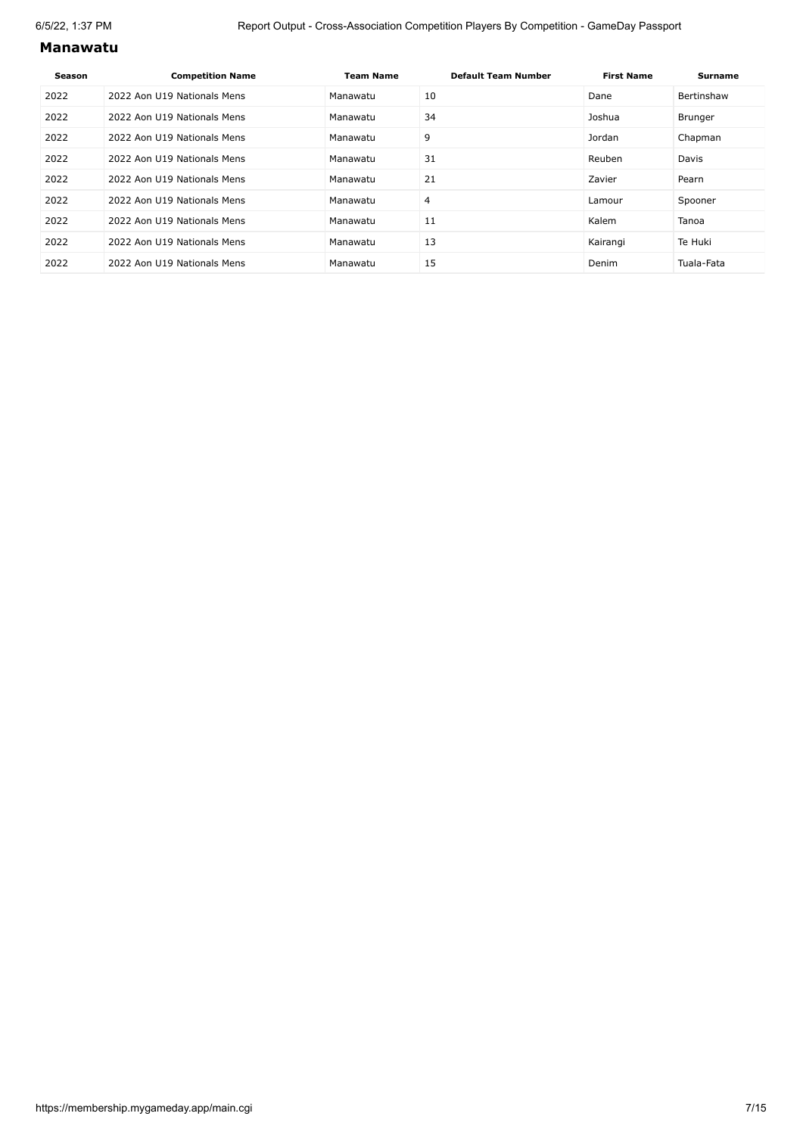#### **Manawatu**

| Season | <b>Competition Name</b>     | <b>Team Name</b> | <b>Default Team Number</b> | <b>First Name</b> | <b>Surname</b> |
|--------|-----------------------------|------------------|----------------------------|-------------------|----------------|
| 2022   | 2022 Aon U19 Nationals Mens | Manawatu         | 10                         | Dane              | Bertinshaw     |
| 2022   | 2022 Aon U19 Nationals Mens | Manawatu         | 34                         | Joshua            | Brunger        |
| 2022   | 2022 Aon U19 Nationals Mens | Manawatu         | 9                          | Jordan            | Chapman        |
| 2022   | 2022 Aon U19 Nationals Mens | Manawatu         | 31                         | Reuben            | Davis          |
| 2022   | 2022 Aon U19 Nationals Mens | Manawatu         | 21                         | Zavier            | Pearn          |
| 2022   | 2022 Aon U19 Nationals Mens | Manawatu         | 4                          | Lamour            | Spooner        |
| 2022   | 2022 Aon U19 Nationals Mens | Manawatu         | 11                         | Kalem             | Tanoa          |
| 2022   | 2022 Aon U19 Nationals Mens | Manawatu         | 13                         | Kairangi          | Te Huki        |
| 2022   | 2022 Aon U19 Nationals Mens | Manawatu         | 15                         | Denim             | Tuala-Fata     |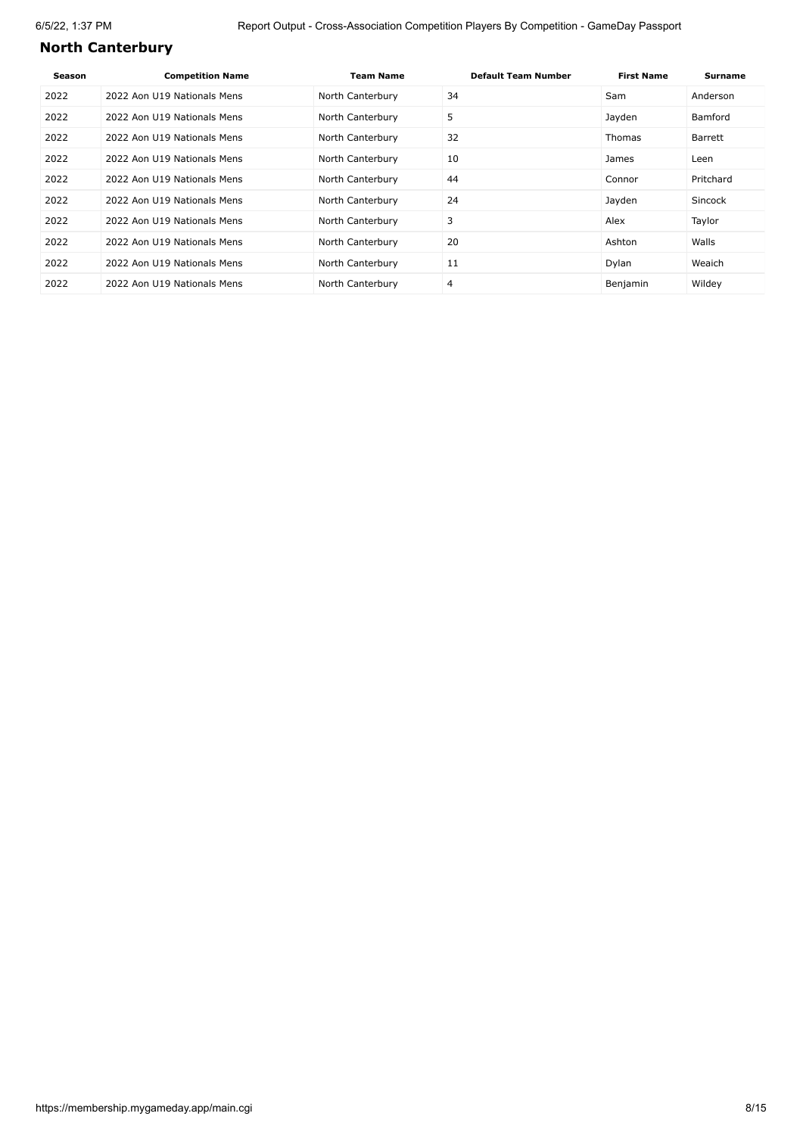# **North Canterbury**

| Season | <b>Competition Name</b>     | <b>Team Name</b> | <b>Default Team Number</b> | <b>First Name</b> | <b>Surname</b> |
|--------|-----------------------------|------------------|----------------------------|-------------------|----------------|
| 2022   | 2022 Aon U19 Nationals Mens | North Canterbury | 34                         | Sam               | Anderson       |
| 2022   | 2022 Aon U19 Nationals Mens | North Canterbury | 5                          | Jayden            | Bamford        |
| 2022   | 2022 Aon U19 Nationals Mens | North Canterbury | 32                         | Thomas            | Barrett        |
| 2022   | 2022 Aon U19 Nationals Mens | North Canterbury | 10                         | James             | Leen           |
| 2022   | 2022 Aon U19 Nationals Mens | North Canterbury | 44                         | Connor            | Pritchard      |
| 2022   | 2022 Aon U19 Nationals Mens | North Canterbury | 24                         | Jayden            | Sincock        |
| 2022   | 2022 Aon U19 Nationals Mens | North Canterbury | 3                          | Alex              | Taylor         |
| 2022   | 2022 Aon U19 Nationals Mens | North Canterbury | 20                         | Ashton            | Walls          |
| 2022   | 2022 Aon U19 Nationals Mens | North Canterbury | 11                         | Dylan             | Weaich         |
| 2022   | 2022 Aon U19 Nationals Mens | North Canterbury | 4                          | Benjamin          | Wildey         |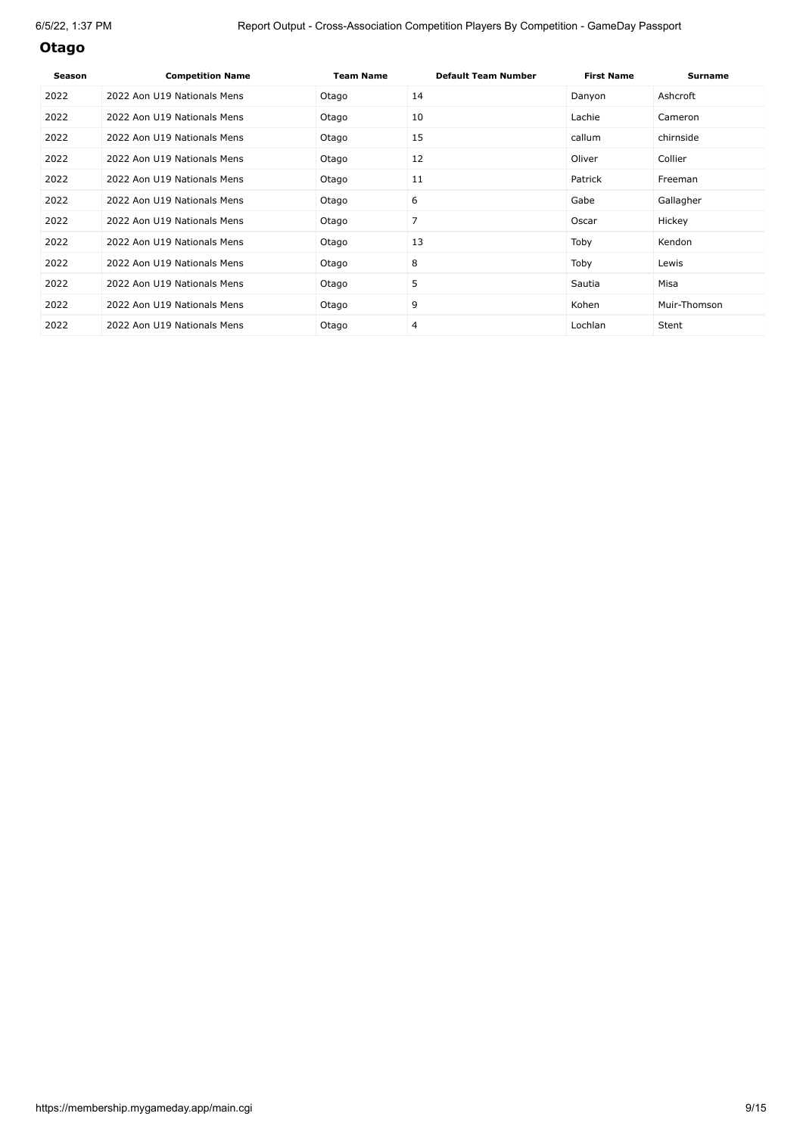## **Otago**

| <b>Season</b> | <b>Competition Name</b>     | <b>Team Name</b> | <b>Default Team Number</b> | <b>First Name</b> | <b>Surname</b> |
|---------------|-----------------------------|------------------|----------------------------|-------------------|----------------|
| 2022          | 2022 Aon U19 Nationals Mens | Otago            | 14                         | Danyon            | Ashcroft       |
| 2022          | 2022 Aon U19 Nationals Mens | Otago            | 10                         | Lachie            | Cameron        |
| 2022          | 2022 Aon U19 Nationals Mens | Otago            | 15                         | callum            | chirnside      |
| 2022          | 2022 Aon U19 Nationals Mens | Otago            | 12                         | Oliver            | Collier        |
| 2022          | 2022 Aon U19 Nationals Mens | Otago            | 11                         | Patrick           | Freeman        |
| 2022          | 2022 Aon U19 Nationals Mens | Otago            | 6                          | Gabe              | Gallagher      |
| 2022          | 2022 Aon U19 Nationals Mens | Otago            | 7                          | Oscar             | Hickey         |
| 2022          | 2022 Aon U19 Nationals Mens | Otago            | 13                         | Toby              | Kendon         |
| 2022          | 2022 Aon U19 Nationals Mens | Otago            | 8                          | Toby              | Lewis          |
| 2022          | 2022 Aon U19 Nationals Mens | Otago            | 5                          | Sautia            | Misa           |
| 2022          | 2022 Aon U19 Nationals Mens | Otago            | 9                          | Kohen             | Muir-Thomson   |
| 2022          | 2022 Aon U19 Nationals Mens | Otago            | 4                          | Lochlan           | Stent          |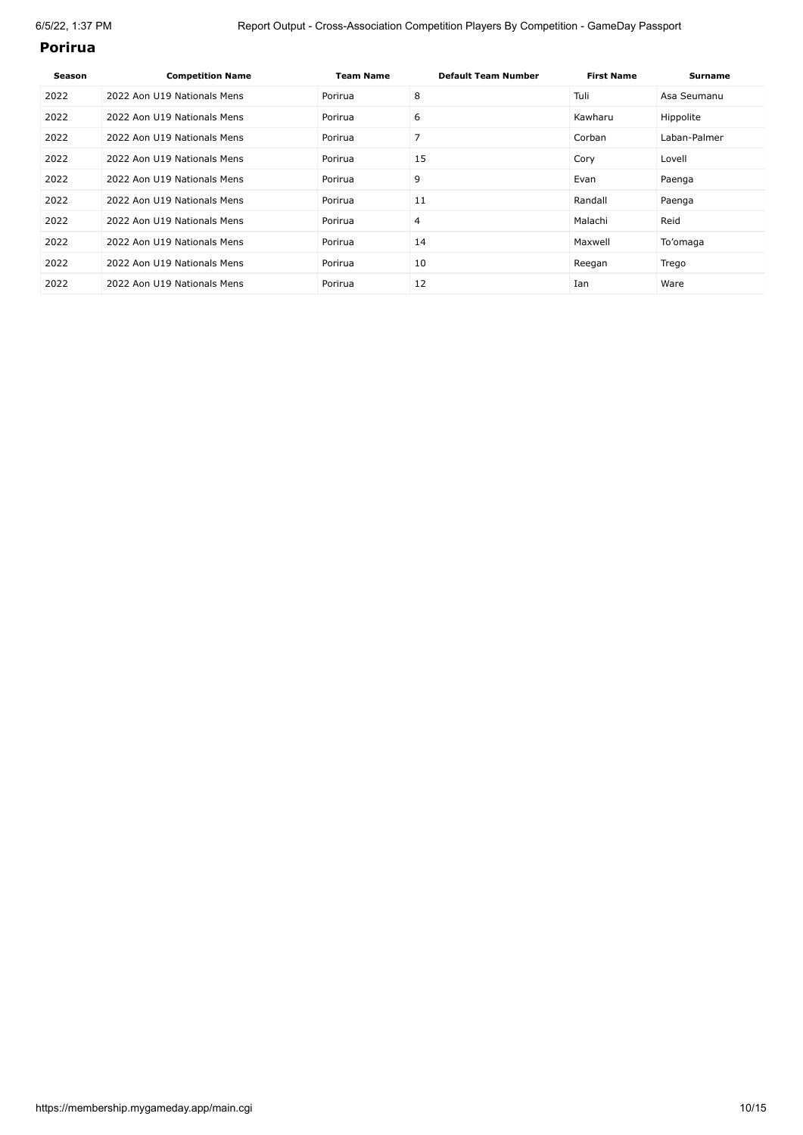#### **Porirua**

| <b>Season</b> | <b>Competition Name</b>     | <b>Team Name</b> | <b>Default Team Number</b> | <b>First Name</b> | <b>Surname</b> |
|---------------|-----------------------------|------------------|----------------------------|-------------------|----------------|
| 2022          | 2022 Aon U19 Nationals Mens | Porirua          | 8                          | Tuli              | Asa Seumanu    |
| 2022          | 2022 Aon U19 Nationals Mens | Porirua          | 6                          | Kawharu           | Hippolite      |
| 2022          | 2022 Aon U19 Nationals Mens | Porirua          | 7                          | Corban            | Laban-Palmer   |
| 2022          | 2022 Aon U19 Nationals Mens | Porirua          | 15                         | Cory              | Lovell         |
| 2022          | 2022 Aon U19 Nationals Mens | Porirua          | 9                          | Evan              | Paenga         |
| 2022          | 2022 Aon U19 Nationals Mens | Porirua          | 11                         | Randall           | Paenga         |
| 2022          | 2022 Aon U19 Nationals Mens | Porirua          | 4                          | Malachi           | Reid           |
| 2022          | 2022 Aon U19 Nationals Mens | Porirua          | 14                         | Maxwell           | To'omaga       |
| 2022          | 2022 Aon U19 Nationals Mens | Porirua          | 10                         | Reegan            | Trego          |
| 2022          | 2022 Aon U19 Nationals Mens | Porirua          | 12                         | Ian               | Ware           |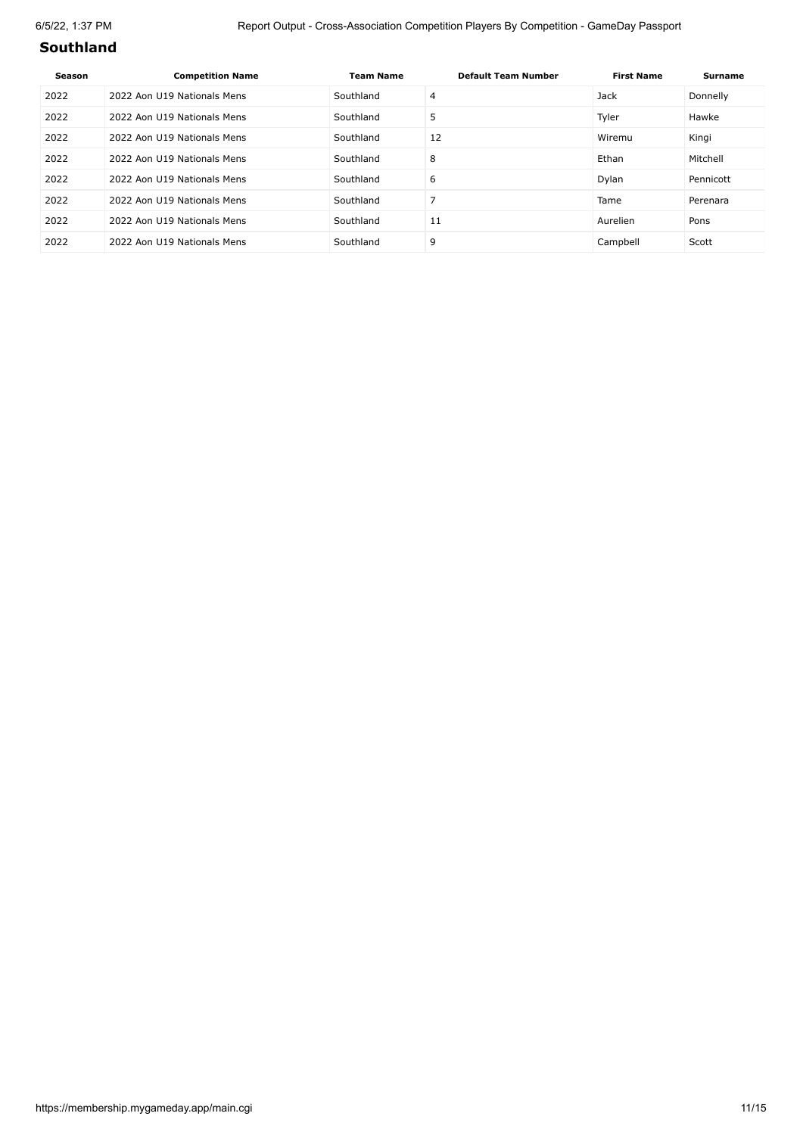### **Southland**

| Season | <b>Competition Name</b>     | <b>Team Name</b> | <b>Default Team Number</b> | <b>First Name</b> | <b>Surname</b> |
|--------|-----------------------------|------------------|----------------------------|-------------------|----------------|
| 2022   | 2022 Aon U19 Nationals Mens | Southland        | 4                          | Jack              | Donnelly       |
| 2022   | 2022 Aon U19 Nationals Mens | Southland        | 5                          | Tyler             | Hawke          |
| 2022   | 2022 Aon U19 Nationals Mens | Southland        | 12                         | Wiremu            | Kingi          |
| 2022   | 2022 Aon U19 Nationals Mens | Southland        | 8                          | Ethan             | Mitchell       |
| 2022   | 2022 Aon U19 Nationals Mens | Southland        | 6                          | Dylan             | Pennicott      |
| 2022   | 2022 Aon U19 Nationals Mens | Southland        |                            | Tame              | Perenara       |
| 2022   | 2022 Aon U19 Nationals Mens | Southland        | 11                         | Aurelien          | Pons           |
| 2022   | 2022 Aon U19 Nationals Mens | Southland        | 9                          | Campbell          | Scott          |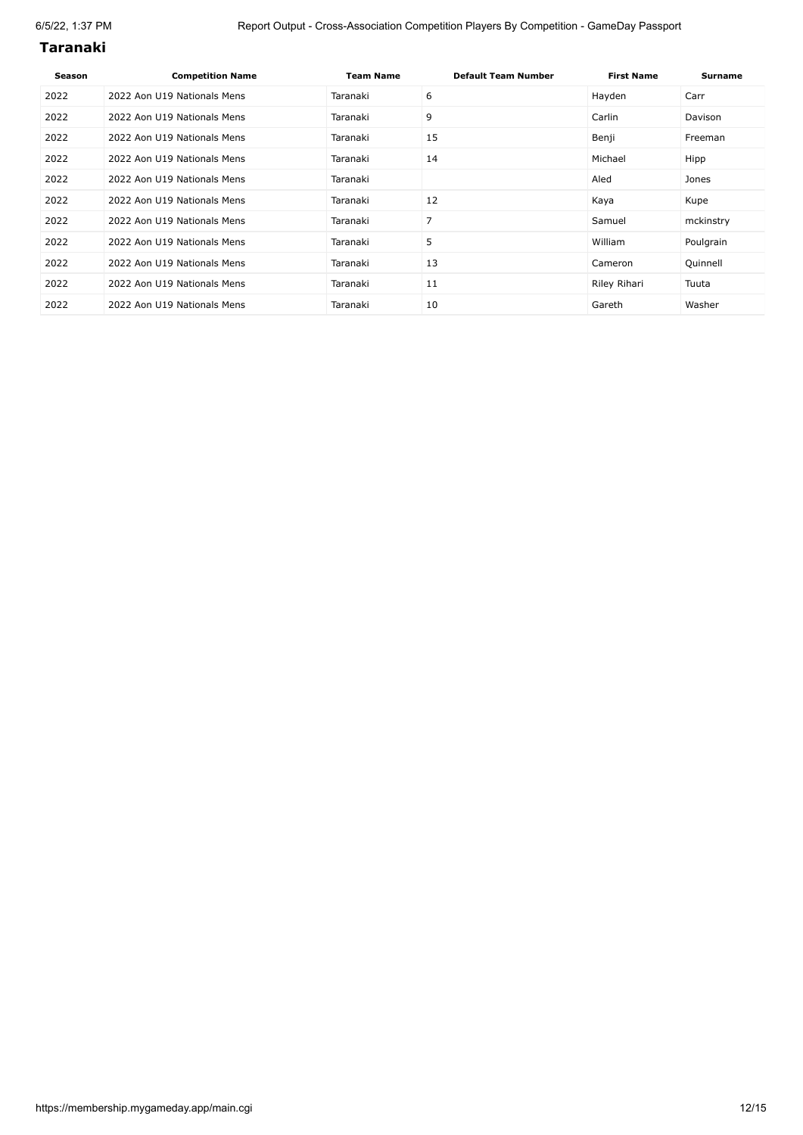#### **Taranaki**

| Season | <b>Competition Name</b>     | <b>Team Name</b> | <b>Default Team Number</b> | <b>First Name</b> | <b>Surname</b> |
|--------|-----------------------------|------------------|----------------------------|-------------------|----------------|
| 2022   | 2022 Aon U19 Nationals Mens | Taranaki         | 6                          | Hayden            | Carr           |
| 2022   | 2022 Aon U19 Nationals Mens | Taranaki         | 9                          | Carlin            | Davison        |
| 2022   | 2022 Aon U19 Nationals Mens | Taranaki         | 15                         | Benji             | Freeman        |
| 2022   | 2022 Aon U19 Nationals Mens | Taranaki         | 14                         | Michael           | Hipp           |
| 2022   | 2022 Aon U19 Nationals Mens | Taranaki         |                            | Aled              | Jones          |
| 2022   | 2022 Aon U19 Nationals Mens | Taranaki         | 12                         | Kaya              | Kupe           |
| 2022   | 2022 Aon U19 Nationals Mens | Taranaki         | 7                          | Samuel            | mckinstry      |
| 2022   | 2022 Aon U19 Nationals Mens | Taranaki         | 5                          | William           | Poulgrain      |
| 2022   | 2022 Aon U19 Nationals Mens | Taranaki         | 13                         | Cameron           | Quinnell       |
| 2022   | 2022 Aon U19 Nationals Mens | Taranaki         | 11                         | Riley Rihari      | Tuuta          |
| 2022   | 2022 Aon U19 Nationals Mens | Taranaki         | 10                         | Gareth            | Washer         |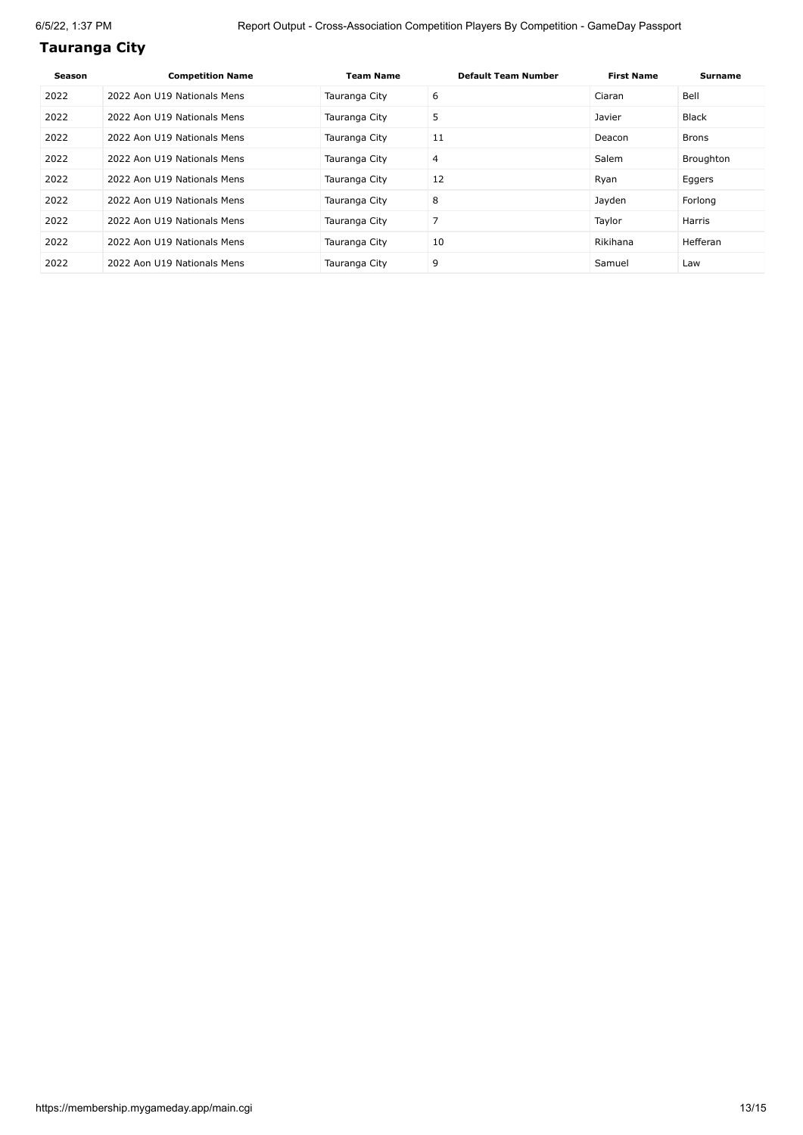# **Tauranga City**

| Season | <b>Competition Name</b>     | <b>Team Name</b> | <b>Default Team Number</b> | <b>First Name</b> | Surname   |
|--------|-----------------------------|------------------|----------------------------|-------------------|-----------|
| 2022   | 2022 Aon U19 Nationals Mens | Tauranga City    | 6                          | Ciaran            | Bell      |
| 2022   | 2022 Aon U19 Nationals Mens | Tauranga City    | 5                          | Javier            | Black     |
| 2022   | 2022 Aon U19 Nationals Mens | Tauranga City    | 11                         | Deacon            | Brons     |
| 2022   | 2022 Aon U19 Nationals Mens | Tauranga City    | $\overline{4}$             | Salem             | Broughton |
| 2022   | 2022 Aon U19 Nationals Mens | Tauranga City    | 12                         | Ryan              | Eggers    |
| 2022   | 2022 Aon U19 Nationals Mens | Tauranga City    | 8                          | Jayden            | Forlong   |
| 2022   | 2022 Aon U19 Nationals Mens | Tauranga City    | 7                          | Taylor            | Harris    |
| 2022   | 2022 Aon U19 Nationals Mens | Tauranga City    | 10                         | Rikihana          | Hefferan  |
| 2022   | 2022 Aon U19 Nationals Mens | Tauranga City    | 9                          | Samuel            | Law       |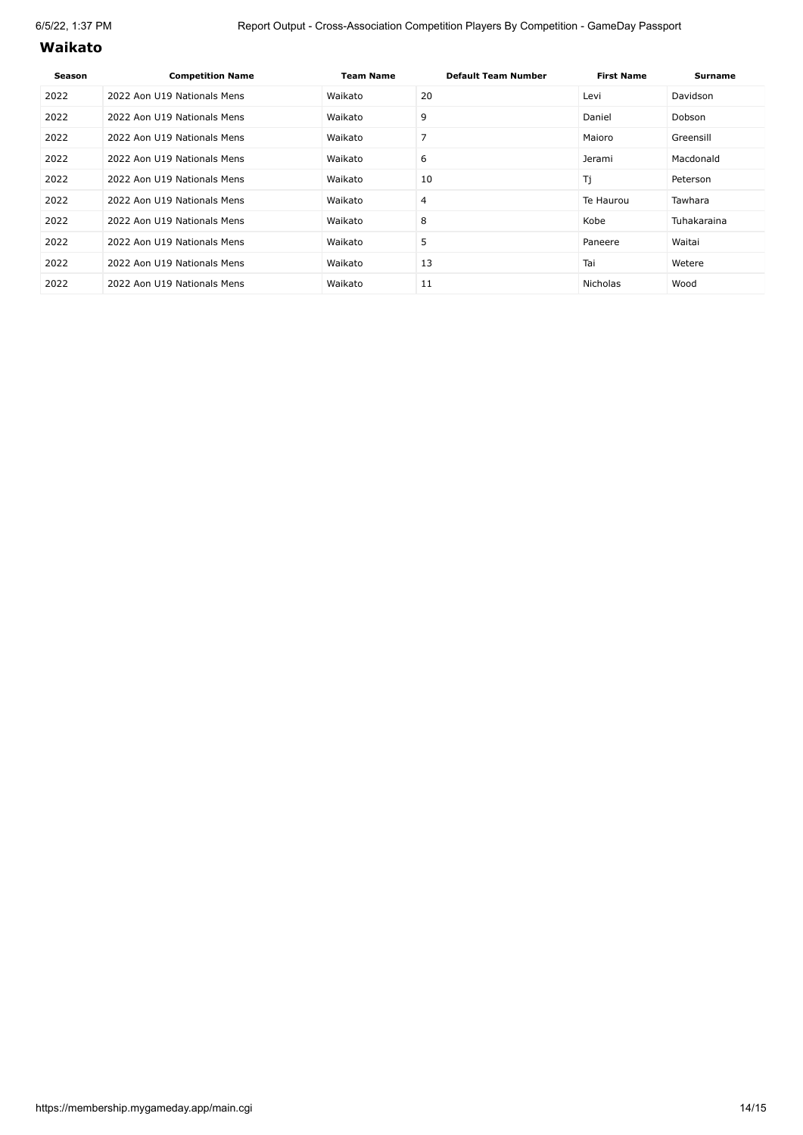#### **Waikato**

| Season | <b>Competition Name</b>     | <b>Team Name</b> | <b>Default Team Number</b> | <b>First Name</b> | Surname     |
|--------|-----------------------------|------------------|----------------------------|-------------------|-------------|
| 2022   | 2022 Aon U19 Nationals Mens | Waikato          | 20                         | Levi              | Davidson    |
| 2022   | 2022 Aon U19 Nationals Mens | Waikato          | 9                          | Daniel            | Dobson      |
| 2022   | 2022 Aon U19 Nationals Mens | Waikato          |                            | Maioro            | Greensill   |
| 2022   | 2022 Aon U19 Nationals Mens | Waikato          | 6                          | Jerami            | Macdonald   |
| 2022   | 2022 Aon U19 Nationals Mens | Waikato          | 10                         | Tj                | Peterson    |
| 2022   | 2022 Aon U19 Nationals Mens | Waikato          | 4                          | Te Haurou         | Tawhara     |
| 2022   | 2022 Aon U19 Nationals Mens | Waikato          | 8                          | Kobe              | Tuhakaraina |
| 2022   | 2022 Aon U19 Nationals Mens | Waikato          | 5                          | Paneere           | Waitai      |
| 2022   | 2022 Aon U19 Nationals Mens | Waikato          | 13                         | Tai               | Wetere      |
| 2022   | 2022 Aon U19 Nationals Mens | Waikato          | 11                         | <b>Nicholas</b>   | Wood        |